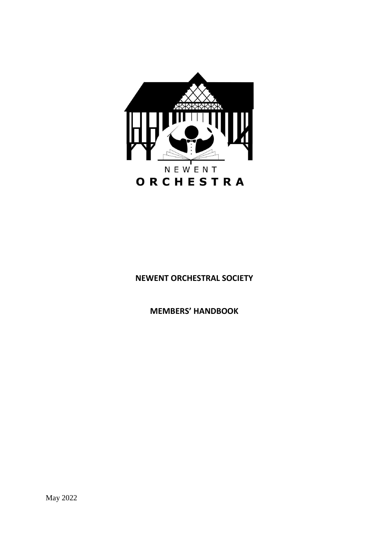

# **NEWENT ORCHESTRAL SOCIETY**

**MEMBERS' HANDBOOK**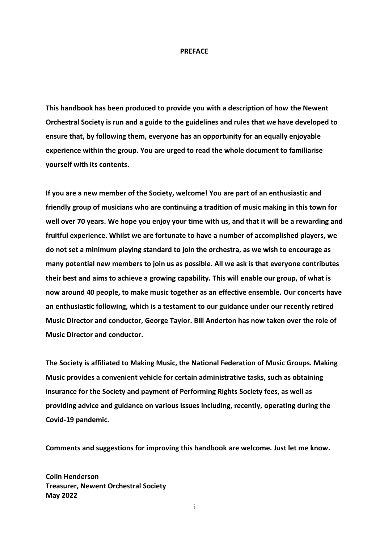#### **PREFACE**

**This handbook has been produced to provide you with a description of how the Newent Orchestral Society is run and a guide to the guidelines and rules that we have developed to ensure that, by following them, everyone has an opportunity for an equally enjoyable experience within the group. You are urged to read the whole document to familiarise yourself with its contents.**

**If you are a new member of the Society, welcome! You are part of an enthusiastic and friendly group of musicians who are continuing a tradition of music making in this town for well over 70 years. We hope you enjoy your time with us, and that it will be a rewarding and fruitful experience. Whilst we are fortunate to have a number of accomplished players, we do not set a minimum playing standard to join the orchestra, as we wish to encourage as many potential new members to join us as possible. All we ask is that everyone contributes their best and aims to achieve a growing capability. This will enable our group, of what is now around 40 people, to make music together as an effective ensemble. Our concerts have an enthusiastic following, which is a testament to our guidance under our recently retired Music Director and conductor, George Taylor. Bill Anderton has now taken over the role of Music Director and conductor.**

**The Society is affiliated to Making Music, the National Federation of Music Groups. Making Music provides a convenient vehicle for certain administrative tasks, such as obtaining insurance for the Society and payment of Performing Rights Society fees, as well as providing advice and guidance on various issues including, recently, operating during the Covid-19 pandemic.**

**Comments and suggestions for improving this handbook are welcome. Just let me know.**

**Colin Henderson Treasurer, Newent Orchestral Society May 2022**

i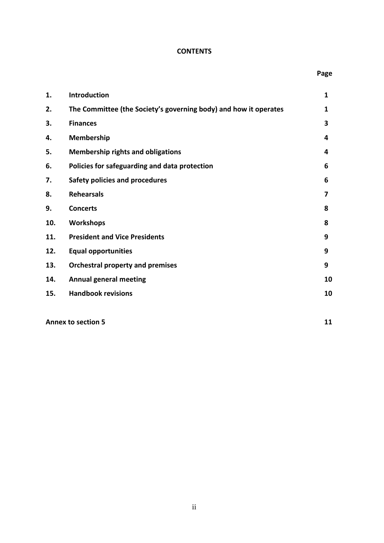# **CONTENTS**

| 1.  | Introduction                                                     | $\mathbf{1}$ |
|-----|------------------------------------------------------------------|--------------|
| 2.  | The Committee (the Society's governing body) and how it operates | 1            |
| 3.  | <b>Finances</b>                                                  | 3            |
| 4.  | Membership                                                       | 4            |
| 5.  | <b>Membership rights and obligations</b>                         | 4            |
| 6.  | Policies for safeguarding and data protection                    | 6            |
| 7.  | <b>Safety policies and procedures</b>                            | 6            |
| 8.  | <b>Rehearsals</b>                                                | 7            |
| 9.  | <b>Concerts</b>                                                  | 8            |
| 10. | <b>Workshops</b>                                                 | 8            |
| 11. | <b>President and Vice Presidents</b>                             | 9            |
| 12. | <b>Equal opportunities</b>                                       | 9            |
| 13. | <b>Orchestral property and premises</b>                          | 9            |
| 14. | <b>Annual general meeting</b>                                    | 10           |
| 15. | <b>Handbook revisions</b>                                        | 10           |
|     |                                                                  |              |

**Annex to section 5 11**

 **Page**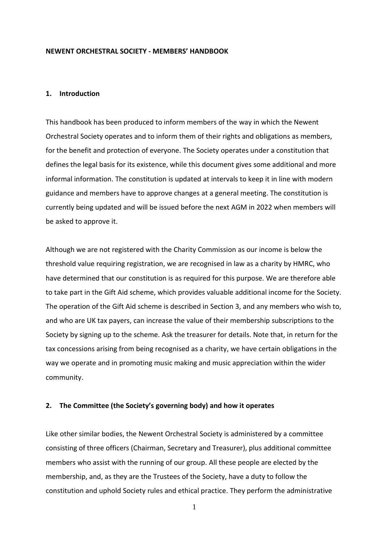#### **NEWENT ORCHESTRAL SOCIETY - MEMBERS' HANDBOOK**

#### **1. Introduction**

This handbook has been produced to inform members of the way in which the Newent Orchestral Society operates and to inform them of their rights and obligations as members, for the benefit and protection of everyone. The Society operates under a constitution that defines the legal basis for its existence, while this document gives some additional and more informal information. The constitution is updated at intervals to keep it in line with modern guidance and members have to approve changes at a general meeting. The constitution is currently being updated and will be issued before the next AGM in 2022 when members will be asked to approve it.

Although we are not registered with the Charity Commission as our income is below the threshold value requiring registration, we are recognised in law as a charity by HMRC, who have determined that our constitution is as required for this purpose. We are therefore able to take part in the Gift Aid scheme, which provides valuable additional income for the Society. The operation of the Gift Aid scheme is described in Section 3, and any members who wish to, and who are UK tax payers, can increase the value of their membership subscriptions to the Society by signing up to the scheme. Ask the treasurer for details. Note that, in return for the tax concessions arising from being recognised as a charity, we have certain obligations in the way we operate and in promoting music making and music appreciation within the wider community.

## **2. The Committee (the Society's governing body) and how it operates**

Like other similar bodies, the Newent Orchestral Society is administered by a committee consisting of three officers (Chairman, Secretary and Treasurer), plus additional committee members who assist with the running of our group. All these people are elected by the membership, and, as they are the Trustees of the Society, have a duty to follow the constitution and uphold Society rules and ethical practice. They perform the administrative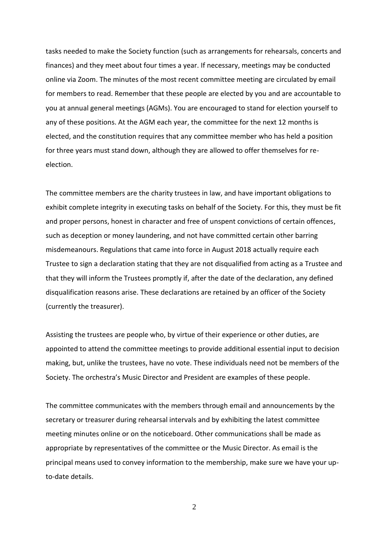tasks needed to make the Society function (such as arrangements for rehearsals, concerts and finances) and they meet about four times a year. If necessary, meetings may be conducted online via Zoom. The minutes of the most recent committee meeting are circulated by email for members to read. Remember that these people are elected by you and are accountable to you at annual general meetings (AGMs). You are encouraged to stand for election yourself to any of these positions. At the AGM each year, the committee for the next 12 months is elected, and the constitution requires that any committee member who has held a position for three years must stand down, although they are allowed to offer themselves for reelection.

The committee members are the charity trustees in law, and have important obligations to exhibit complete integrity in executing tasks on behalf of the Society. For this, they must be fit and proper persons, honest in character and free of unspent convictions of certain offences, such as deception or money laundering, and not have committed certain other barring misdemeanours. Regulations that came into force in August 2018 actually require each Trustee to sign a declaration stating that they are not disqualified from acting as a Trustee and that they will inform the Trustees promptly if, after the date of the declaration, any defined disqualification reasons arise. These declarations are retained by an officer of the Society (currently the treasurer).

Assisting the trustees are people who, by virtue of their experience or other duties, are appointed to attend the committee meetings to provide additional essential input to decision making, but, unlike the trustees, have no vote. These individuals need not be members of the Society. The orchestra's Music Director and President are examples of these people.

The committee communicates with the members through email and announcements by the secretary or treasurer during rehearsal intervals and by exhibiting the latest committee meeting minutes online or on the noticeboard. Other communications shall be made as appropriate by representatives of the committee or the Music Director. As email is the principal means used to convey information to the membership, make sure we have your upto-date details.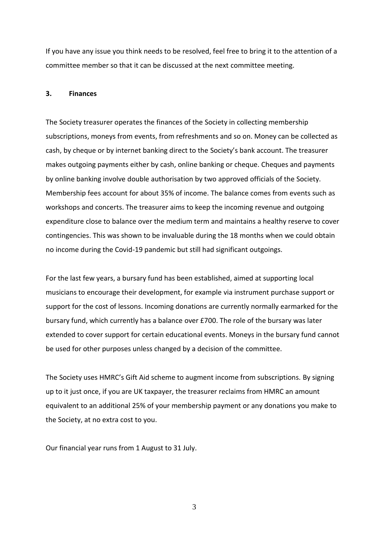If you have any issue you think needs to be resolved, feel free to bring it to the attention of a committee member so that it can be discussed at the next committee meeting.

# **3. Finances**

The Society treasurer operates the finances of the Society in collecting membership subscriptions, moneys from events, from refreshments and so on. Money can be collected as cash, by cheque or by internet banking direct to the Society's bank account. The treasurer makes outgoing payments either by cash, online banking or cheque. Cheques and payments by online banking involve double authorisation by two approved officials of the Society. Membership fees account for about 35% of income. The balance comes from events such as workshops and concerts. The treasurer aims to keep the incoming revenue and outgoing expenditure close to balance over the medium term and maintains a healthy reserve to cover contingencies. This was shown to be invaluable during the 18 months when we could obtain no income during the Covid-19 pandemic but still had significant outgoings.

For the last few years, a bursary fund has been established, aimed at supporting local musicians to encourage their development, for example via instrument purchase support or support for the cost of lessons. Incoming donations are currently normally earmarked for the bursary fund, which currently has a balance over £700. The role of the bursary was later extended to cover support for certain educational events. Moneys in the bursary fund cannot be used for other purposes unless changed by a decision of the committee.

The Society uses HMRC's Gift Aid scheme to augment income from subscriptions. By signing up to it just once, if you are UK taxpayer, the treasurer reclaims from HMRC an amount equivalent to an additional 25% of your membership payment or any donations you make to the Society, at no extra cost to you.

Our financial year runs from 1 August to 31 July.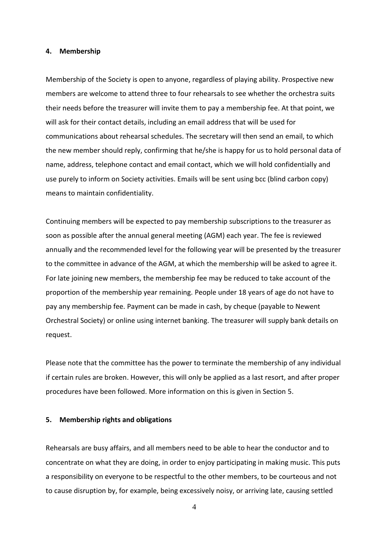#### **4. Membership**

Membership of the Society is open to anyone, regardless of playing ability. Prospective new members are welcome to attend three to four rehearsals to see whether the orchestra suits their needs before the treasurer will invite them to pay a membership fee. At that point, we will ask for their contact details, including an email address that will be used for communications about rehearsal schedules. The secretary will then send an email, to which the new member should reply, confirming that he/she is happy for us to hold personal data of name, address, telephone contact and email contact, which we will hold confidentially and use purely to inform on Society activities. Emails will be sent using bcc (blind carbon copy) means to maintain confidentiality.

Continuing members will be expected to pay membership subscriptions to the treasurer as soon as possible after the annual general meeting (AGM) each year. The fee is reviewed annually and the recommended level for the following year will be presented by the treasurer to the committee in advance of the AGM, at which the membership will be asked to agree it. For late joining new members, the membership fee may be reduced to take account of the proportion of the membership year remaining. People under 18 years of age do not have to pay any membership fee. Payment can be made in cash, by cheque (payable to Newent Orchestral Society) or online using internet banking. The treasurer will supply bank details on request.

Please note that the committee has the power to terminate the membership of any individual if certain rules are broken. However, this will only be applied as a last resort, and after proper procedures have been followed. More information on this is given in Section 5.

#### **5. Membership rights and obligations**

Rehearsals are busy affairs, and all members need to be able to hear the conductor and to concentrate on what they are doing, in order to enjoy participating in making music. This puts a responsibility on everyone to be respectful to the other members, to be courteous and not to cause disruption by, for example, being excessively noisy, or arriving late, causing settled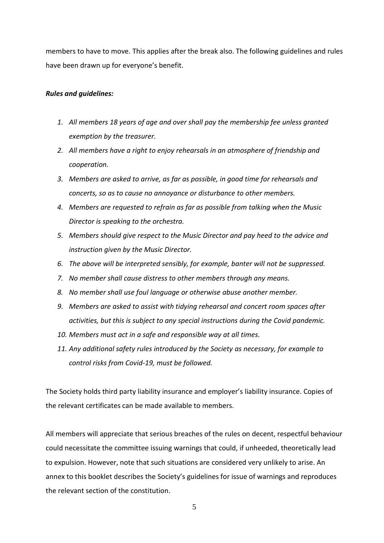members to have to move. This applies after the break also. The following guidelines and rules have been drawn up for everyone's benefit.

## *Rules and guidelines:*

- *1. All members 18 years of age and over shall pay the membership fee unless granted exemption by the treasurer.*
- *2. All members have a right to enjoy rehearsals in an atmosphere of friendship and cooperation.*
- *3. Members are asked to arrive, as far as possible, in good time for rehearsals and concerts, so as to cause no annoyance or disturbance to other members.*
- *4. Members are requested to refrain as far as possible from talking when the Music Director is speaking to the orchestra.*
- *5. Members should give respect to the Music Director and pay heed to the advice and instruction given by the Music Director.*
- *6. The above will be interpreted sensibly, for example, banter will not be suppressed.*
- *7. No member shall cause distress to other members through any means.*
- *8. No member shall use foul language or otherwise abuse another member.*
- *9. Members are asked to assist with tidying rehearsal and concert room spaces after activities, but this is subject to any special instructions during the Covid pandemic.*
- *10. Members must act in a safe and responsible way at all times.*
- *11. Any additional safety rules introduced by the Society as necessary, for example to control risks from Covid-19, must be followed.*

The Society holds third party liability insurance and employer's liability insurance. Copies of the relevant certificates can be made available to members.

All members will appreciate that serious breaches of the rules on decent, respectful behaviour could necessitate the committee issuing warnings that could, if unheeded, theoretically lead to expulsion. However, note that such situations are considered very unlikely to arise. An annex to this booklet describes the Society's guidelines for issue of warnings and reproduces the relevant section of the constitution.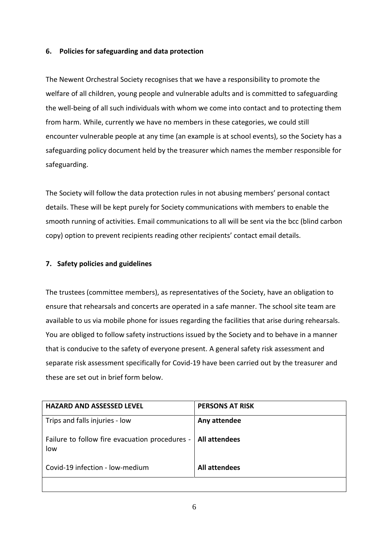# **6. Policies for safeguarding and data protection**

The Newent Orchestral Society recognises that we have a responsibility to promote the welfare of all children, young people and vulnerable adults and is committed to safeguarding the well-being of all such individuals with whom we come into contact and to protecting them from harm. While, currently we have no members in these categories, we could still encounter vulnerable people at any time (an example is at school events), so the Society has a safeguarding policy document held by the treasurer which names the member responsible for safeguarding.

The Society will follow the data protection rules in not abusing members' personal contact details. These will be kept purely for Society communications with members to enable the smooth running of activities. Email communications to all will be sent via the bcc (blind carbon copy) option to prevent recipients reading other recipients' contact email details.

# **7. Safety policies and guidelines**

The trustees (committee members), as representatives of the Society, have an obligation to ensure that rehearsals and concerts are operated in a safe manner. The school site team are available to us via mobile phone for issues regarding the facilities that arise during rehearsals. You are obliged to follow safety instructions issued by the Society and to behave in a manner that is conducive to the safety of everyone present. A general safety risk assessment and separate risk assessment specifically for Covid-19 have been carried out by the treasurer and these are set out in brief form below.

| <b>HAZARD AND ASSESSED LEVEL</b>                      | <b>PERSONS AT RISK</b> |
|-------------------------------------------------------|------------------------|
| Trips and falls injuries - low                        | Any attendee           |
| Failure to follow fire evacuation procedures -<br>low | <b>All attendees</b>   |
| Covid-19 infection - low-medium                       | <b>All attendees</b>   |
|                                                       |                        |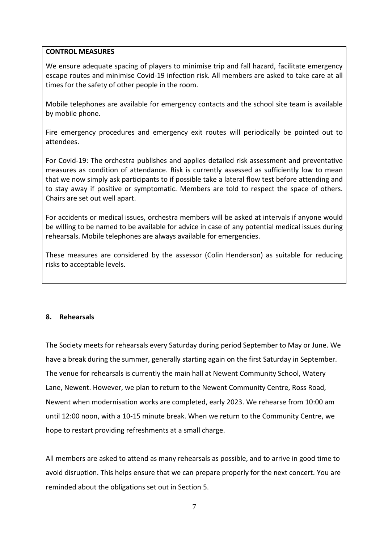# **CONTROL MEASURES**

We ensure adequate spacing of players to minimise trip and fall hazard, facilitate emergency escape routes and minimise Covid-19 infection risk. All members are asked to take care at all times for the safety of other people in the room.

Mobile telephones are available for emergency contacts and the school site team is available by mobile phone.

Fire emergency procedures and emergency exit routes will periodically be pointed out to attendees.

For Covid-19: The orchestra publishes and applies detailed risk assessment and preventative measures as condition of attendance. Risk is currently assessed as sufficiently low to mean that we now simply ask participants to if possible take a lateral flow test before attending and to stay away if positive or symptomatic. Members are told to respect the space of others. Chairs are set out well apart.

For accidents or medical issues, orchestra members will be asked at intervals if anyone would be willing to be named to be available for advice in case of any potential medical issues during rehearsals. Mobile telephones are always available for emergencies.

These measures are considered by the assessor (Colin Henderson) as suitable for reducing risks to acceptable levels.

# **8. Rehearsals**

The Society meets for rehearsals every Saturday during period September to May or June. We have a break during the summer, generally starting again on the first Saturday in September. The venue for rehearsals is currently the main hall at Newent Community School, Watery Lane, Newent. However, we plan to return to the Newent Community Centre, Ross Road, Newent when modernisation works are completed, early 2023. We rehearse from 10:00 am until 12:00 noon, with a 10-15 minute break. When we return to the Community Centre, we hope to restart providing refreshments at a small charge.

All members are asked to attend as many rehearsals as possible, and to arrive in good time to avoid disruption. This helps ensure that we can prepare properly for the next concert. You are reminded about the obligations set out in Section 5.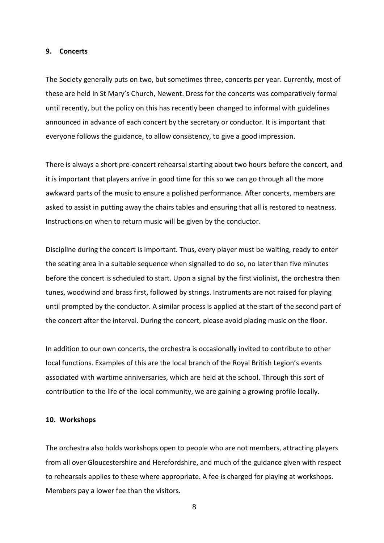#### **9. Concerts**

The Society generally puts on two, but sometimes three, concerts per year. Currently, most of these are held in St Mary's Church, Newent. Dress for the concerts was comparatively formal until recently, but the policy on this has recently been changed to informal with guidelines announced in advance of each concert by the secretary or conductor. It is important that everyone follows the guidance, to allow consistency, to give a good impression.

There is always a short pre-concert rehearsal starting about two hours before the concert, and it is important that players arrive in good time for this so we can go through all the more awkward parts of the music to ensure a polished performance. After concerts, members are asked to assist in putting away the chairs tables and ensuring that all is restored to neatness. Instructions on when to return music will be given by the conductor.

Discipline during the concert is important. Thus, every player must be waiting, ready to enter the seating area in a suitable sequence when signalled to do so, no later than five minutes before the concert is scheduled to start. Upon a signal by the first violinist, the orchestra then tunes, woodwind and brass first, followed by strings. Instruments are not raised for playing until prompted by the conductor. A similar process is applied at the start of the second part of the concert after the interval. During the concert, please avoid placing music on the floor.

In addition to our own concerts, the orchestra is occasionally invited to contribute to other local functions. Examples of this are the local branch of the Royal British Legion's events associated with wartime anniversaries, which are held at the school. Through this sort of contribution to the life of the local community, we are gaining a growing profile locally.

#### **10. Workshops**

The orchestra also holds workshops open to people who are not members, attracting players from all over Gloucestershire and Herefordshire, and much of the guidance given with respect to rehearsals applies to these where appropriate. A fee is charged for playing at workshops. Members pay a lower fee than the visitors.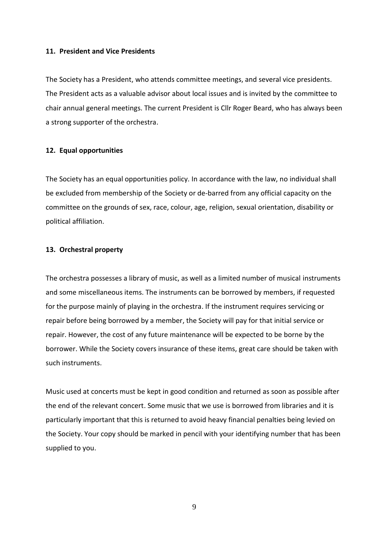#### **11. President and Vice Presidents**

The Society has a President, who attends committee meetings, and several vice presidents. The President acts as a valuable advisor about local issues and is invited by the committee to chair annual general meetings. The current President is Cllr Roger Beard, who has always been a strong supporter of the orchestra.

### **12. Equal opportunities**

The Society has an equal opportunities policy. In accordance with the law, no individual shall be excluded from membership of the Society or de-barred from any official capacity on the committee on the grounds of sex, race, colour, age, religion, sexual orientation, disability or political affiliation.

# **13. Orchestral property**

The orchestra possesses a library of music, as well as a limited number of musical instruments and some miscellaneous items. The instruments can be borrowed by members, if requested for the purpose mainly of playing in the orchestra. If the instrument requires servicing or repair before being borrowed by a member, the Society will pay for that initial service or repair. However, the cost of any future maintenance will be expected to be borne by the borrower. While the Society covers insurance of these items, great care should be taken with such instruments.

Music used at concerts must be kept in good condition and returned as soon as possible after the end of the relevant concert. Some music that we use is borrowed from libraries and it is particularly important that this is returned to avoid heavy financial penalties being levied on the Society. Your copy should be marked in pencil with your identifying number that has been supplied to you.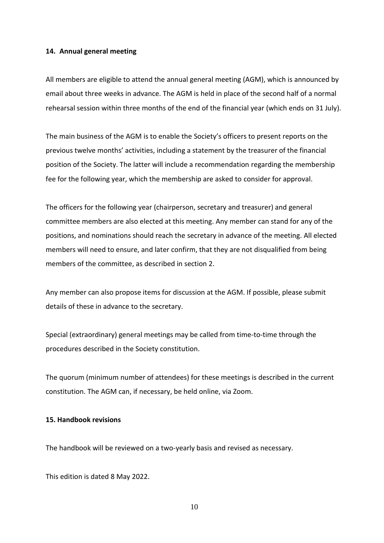## **14. Annual general meeting**

All members are eligible to attend the annual general meeting (AGM), which is announced by email about three weeks in advance. The AGM is held in place of the second half of a normal rehearsal session within three months of the end of the financial year (which ends on 31 July).

The main business of the AGM is to enable the Society's officers to present reports on the previous twelve months' activities, including a statement by the treasurer of the financial position of the Society. The latter will include a recommendation regarding the membership fee for the following year, which the membership are asked to consider for approval.

The officers for the following year (chairperson, secretary and treasurer) and general committee members are also elected at this meeting. Any member can stand for any of the positions, and nominations should reach the secretary in advance of the meeting. All elected members will need to ensure, and later confirm, that they are not disqualified from being members of the committee, as described in section 2.

Any member can also propose items for discussion at the AGM. If possible, please submit details of these in advance to the secretary.

Special (extraordinary) general meetings may be called from time-to-time through the procedures described in the Society constitution.

The quorum (minimum number of attendees) for these meetings is described in the current constitution. The AGM can, if necessary, be held online, via Zoom.

## **15. Handbook revisions**

The handbook will be reviewed on a two-yearly basis and revised as necessary.

This edition is dated 8 May 2022.